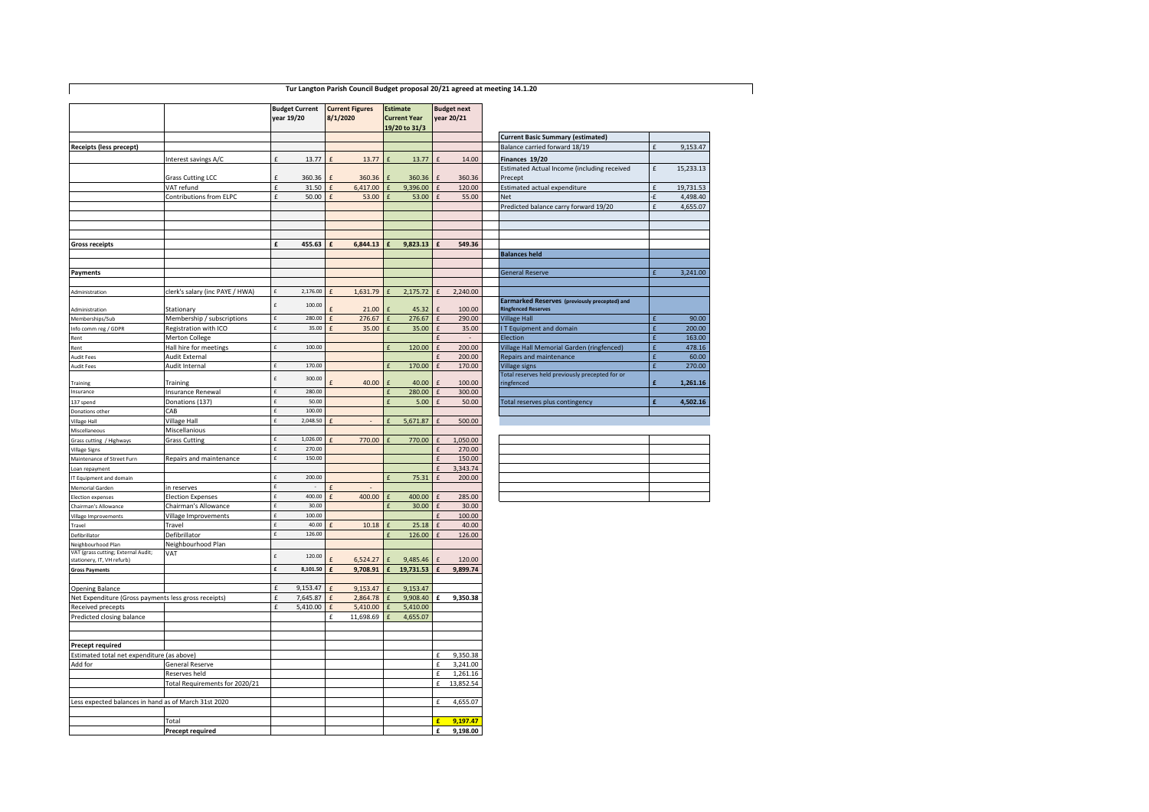## **Tur Langton Parish Council Budget proposal 20/21 agreed at meeting 14.1.20**

 $\blacksquare$ 

|                                                                   |                                      |              | <b>Budget Current</b><br>year 19/20 | <b>Current Figures</b><br>8/1/2020 |           |              | <b>Estimate</b><br><b>Current Year</b><br>19/20 to 31/3 |   | <b>Budget next</b><br>year 20/21 |                                                        |              |           |
|-------------------------------------------------------------------|--------------------------------------|--------------|-------------------------------------|------------------------------------|-----------|--------------|---------------------------------------------------------|---|----------------------------------|--------------------------------------------------------|--------------|-----------|
|                                                                   |                                      |              |                                     |                                    |           |              |                                                         |   |                                  | <b>Current Basic Summary (estimated)</b>               |              |           |
| Receipts (less precept)                                           |                                      |              |                                     |                                    |           |              |                                                         |   |                                  | Balance carried forward 18/19                          | $\mathbf{f}$ | 9,153.47  |
|                                                                   | Interest savings A/C                 | £            | 13.77                               |                                    | 13.77     |              | 13.77                                                   |   | 14.00                            | Finances 19/20                                         |              |           |
|                                                                   | Grass Cutting LCC                    | f            | 360.36                              |                                    | 360.36    |              | 360.36                                                  |   | 360.36                           | Estimated Actual Income (including received<br>Precept | $\pounds$    | 15,233.13 |
|                                                                   | VAT refund                           | f            | 31.50                               |                                    | 6,417.00  | £            | 9,396.00                                                | f | 120.00                           | Estimated actual expenditure                           | £            | 19,731.53 |
|                                                                   | Contributions from ELPC              | £            | 50.00                               | f                                  | 53.00     |              | 53.00                                                   | £ | 55.00                            | Net                                                    | -£           | 4,498.40  |
|                                                                   |                                      |              |                                     |                                    |           |              |                                                         |   |                                  | Predicted balance carry forward 19/20                  | £            | 4,655.07  |
|                                                                   |                                      |              |                                     |                                    |           |              |                                                         |   |                                  |                                                        |              |           |
| <b>Gross receipts</b>                                             |                                      | £            | 455.63                              | $\mathbf{f}$                       | 6,844.13  |              | 9,823.13                                                | £ | 549.36                           |                                                        |              |           |
|                                                                   |                                      |              |                                     |                                    |           |              |                                                         |   |                                  | <b>Balances held</b>                                   |              |           |
|                                                                   |                                      |              |                                     |                                    |           |              |                                                         |   |                                  |                                                        |              |           |
| Payments                                                          |                                      |              |                                     |                                    |           |              |                                                         |   |                                  | <b>General Reserve</b>                                 | f            | 3,241.00  |
| Administration                                                    | clerk's salary (inc PAYE / HWA)      | £            | 2,176.00                            |                                    | 1,631.79  |              | 2,175.72                                                |   | 2,240.00                         |                                                        |              |           |
|                                                                   |                                      |              |                                     |                                    |           |              |                                                         |   |                                  | <b>Earmarked Reserves (previously precepted) and</b>   |              |           |
| Administration                                                    | Stationary                           | £            | 100.00                              |                                    | 21.00     |              | 45.32                                                   |   | 100.00                           | <b>Ringfenced Reserves</b>                             |              |           |
| Memberships/Sub                                                   | Membership / subscriptions           | £            | 280.00                              |                                    | 276.67    | f            | 276.67                                                  | £ | 290.00                           | <b>Village Hall</b>                                    | £            | 90.00     |
| nfo comm reg / GDPR                                               | Registration with ICO                | £            | 35.00                               |                                    | 35.00     |              | 35.00                                                   | f | 35.00                            | T Equipment and domain                                 | £            | 200.00    |
| lent                                                              | Merton College                       |              |                                     |                                    |           |              |                                                         | £ |                                  | Election                                               | £            | 163.00    |
| lent                                                              | Hall hire for meetings               | £            | 100.00                              |                                    |           |              | 120.00                                                  |   | 200.00                           | Village Hall Memorial Garden (ringfenced)              | $\epsilon$   | 478.16    |
| <b>Audit Fees</b>                                                 | Audit External                       |              |                                     |                                    |           |              |                                                         | £ | 200.00                           | Repairs and maintenance                                | £            | 60.00     |
| <b>Audit Fees</b>                                                 | Audit Internal                       | £            | 170.00                              |                                    |           |              | 170.00                                                  | f | 170.00                           | <b>Village signs</b>                                   | $\mathbf{f}$ | 270.00    |
|                                                                   |                                      | £            | 300.00                              |                                    |           |              |                                                         |   |                                  | Total reserves held previously precepted for or        |              |           |
| <b>Training</b><br>nsurance                                       | Training                             | £            | 280.00                              |                                    | 40.00     |              | 40.00                                                   | f | 100.00                           | ringfenced                                             | £            | 1,261.16  |
|                                                                   | Insurance Renewal<br>Donations (137) | £            | 50.00                               |                                    |           | c            | 280.00<br>5.00                                          |   | 300.00<br>50.00                  |                                                        | £            | 4.502.16  |
| 137 spend<br>Donations other                                      | CAB                                  | $\mathbf{f}$ | 100.00                              |                                    |           |              |                                                         |   |                                  | Total reserves plus contingency                        |              |           |
| Village Hall                                                      | Village Hall                         | £            | 2,048.50                            |                                    |           | £            | 5,671.87                                                |   | 500.00                           |                                                        |              |           |
| Miscellaneous                                                     | Miscellanious                        |              |                                     |                                    |           |              |                                                         |   |                                  |                                                        |              |           |
| Grass cutting / Highways                                          | <b>Grass Cutting</b>                 | £            | 1,026.00                            |                                    | 770.00    |              | 770.00                                                  | f | 1,050.00                         |                                                        |              |           |
| Village Signs                                                     |                                      | £            | 270.00                              |                                    |           |              |                                                         |   | 270.00                           |                                                        |              |           |
| Maintenance of Street Furn                                        | Repairs and maintenance              | £            | 150.00                              |                                    |           |              |                                                         | £ | 150.00                           |                                                        |              |           |
| oan repayment                                                     |                                      |              |                                     |                                    |           |              |                                                         | f | 3,343.74                         |                                                        |              |           |
| T Equipment and domain                                            |                                      | £            | 200.00                              |                                    |           | $\mathbf{f}$ | 75.31                                                   | £ | 200.00                           |                                                        |              |           |
| Memorial Garden                                                   | in reserves                          | £            |                                     |                                    |           |              |                                                         |   |                                  |                                                        |              |           |
| <b>Election expenses</b>                                          | <b>Election Expenses</b>             | £            | 400.00                              | £                                  | 400.00    | $\mathbf{f}$ | 400.00                                                  | £ | 285.00                           |                                                        |              |           |
| Chairman's Allowance                                              | Chairman's Allowance                 | £            | 30.00                               |                                    |           |              | 30.00                                                   | £ | 30.00                            |                                                        |              |           |
| Village Improvements                                              | Village Improvements                 | £            | 100.00                              |                                    |           |              |                                                         | f | 100.00                           |                                                        |              |           |
| ravel                                                             | Travel                               | £            | 40.00                               |                                    | 10.18     | f            | 25.18                                                   | f | 40.00                            |                                                        |              |           |
| Defibrillator                                                     | Defibrillator                        | £            | 126.00                              |                                    |           |              | 126.00                                                  | £ | 126.00                           |                                                        |              |           |
| Neighbourhood Plan                                                | Neighbourhood Plan                   |              |                                     |                                    |           |              |                                                         |   |                                  |                                                        |              |           |
| VAT (grass cutting; External Audit;<br>stationery, IT, VH refurb) | VAT                                  | £            | 120.00                              |                                    | 6,524.27  |              | 9,485.46                                                |   | 120.00                           |                                                        |              |           |
| <b>Gross Payments</b>                                             |                                      | £            | 8,101.50                            | f                                  | 9,708.91  | £            | 19,731.53                                               | £ | 9,899.74                         |                                                        |              |           |
| <b>Opening Balance</b>                                            |                                      | £            | 9,153.47                            | £                                  | 9,153.47  | $\mathbf{f}$ | 9,153.47                                                |   |                                  |                                                        |              |           |
| Net Expenditure (Gross payments less gross receipts)              |                                      | f            | 7,645.87                            | f                                  | 2,864.78  | $\mathbf f$  | 9,908.40                                                | £ | 9,350.38                         |                                                        |              |           |
| Received precepts                                                 |                                      | f            | 5,410.00                            | $\mathbf{f}$                       | 5,410.00  | $\mathbf{f}$ | 5,410.00                                                |   |                                  |                                                        |              |           |
| Predicted closing balance                                         |                                      |              |                                     | f                                  | 11,698.69 | $\mathbf{f}$ | 4,655.07                                                |   |                                  |                                                        |              |           |
|                                                                   |                                      |              |                                     |                                    |           |              |                                                         |   |                                  |                                                        |              |           |
| Precept required                                                  |                                      |              |                                     |                                    |           |              |                                                         |   |                                  |                                                        |              |           |
| Estimated total net expenditure (as above)                        |                                      |              |                                     |                                    |           |              |                                                         | £ | 9,350.38                         |                                                        |              |           |
| Add for                                                           | General Reserve                      |              |                                     |                                    |           |              |                                                         | £ | 3,241.00                         |                                                        |              |           |
|                                                                   | Reserves held                        |              |                                     |                                    |           |              |                                                         | £ | 1,261.16                         |                                                        |              |           |
|                                                                   | Total Requirements for 2020/21       |              |                                     |                                    |           |              |                                                         | £ | 13,852.54                        |                                                        |              |           |
| Less expected balances in hand as of March 31st 2020              |                                      |              |                                     |                                    |           |              |                                                         | £ | 4,655.07                         |                                                        |              |           |
|                                                                   |                                      |              |                                     |                                    |           |              |                                                         | £ |                                  |                                                        |              |           |
|                                                                   | Total                                |              |                                     |                                    |           |              |                                                         |   | 9,197.47                         |                                                        |              |           |
|                                                                   | <b>Precept required</b>              |              |                                     |                                    |           |              |                                                         | £ | 9,198.00                         |                                                        |              |           |